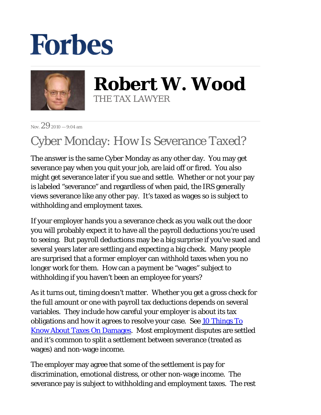## **Forbes**



**Robert W. Wood** THE TAX LAWYER

Nov.  $29_{2010} - 9:04$  am

## Cyber Monday: How Is Severance Taxed?

The answer is the same Cyber Monday as any other day. You may get severance pay when you quit your job, are laid off or fired. You also might get severance later if you sue and settle. Whether or not your pay is labeled "severance" and regardless of when paid, the IRS generally views severance like any other pay. It's taxed as wages so is subject to withholding and employment taxes.

If your employer hands you a severance check as you walk out the door you will probably expect it to have all the payroll deductions you're used to seeing. But payroll deductions may be a big surprise if you've sued and several years later are settling and expecting a big check. Many people are surprised that a *former* employer can withhold taxes when you no longer work for them. How can a payment be "wages" subject to withholding if you haven't been an employee for years?

As it turns out, timing doesn't matter. Whether you get a gross check for the full amount or one with payroll tax deductions depends on several variables. They include how careful your employer is about its tax obligations and how it agrees to resolve your case. See 10 Things To [Know About Taxes On Damages.](http://www.forbes.com/2010/04/29/tax-legal-damages-employment-injury-personal-finance-robert-wood.html) Most employment disputes are settled and it's common to split a settlement between severance (treated as wages) and non-wage income.

The employer may agree that some of the settlement is pay for discrimination, emotional distress, or other non-wage income. The severance pay is subject to withholding and employment taxes. The rest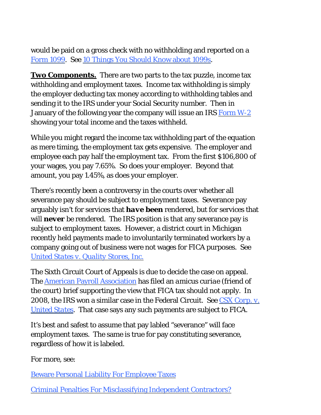would be paid on a gross check with no withholding and reported on a [Form 1099.](http://www.irs.gov/pub/irs-pdf/f1099a.pdf) See [10 Things You Should Know about 1099s.](http://www.forbes.com/2010/01/27/irs-1099-computer-matching-audits-personal-finance-robert-wood.html)

**Two Components.** There are two parts to the tax puzzle, income tax withholding and employment taxes. Income tax withholding is simply the employer deducting tax money according to withholding tables and sending it to the IRS under your Social Security number. Then in January of the following year the company will issue an IRS [Form W-2](http://www.irs.gov/pub/irs-pdf/fw2.pdf) showing your total income and the taxes withheld.

While you might regard the income tax withholding part of the equation as mere timing, the employment tax gets expensive. The employer and employee each pay half the employment tax. From the first \$106,800 of your wages, you pay 7.65%. So does your employer. Beyond that amount, you pay 1.45%, as does your employer.

There's recently been a controversy in the courts over whether all severance pay should be subject to employment taxes. Severance pay arguably isn't for services that *have been* rendered, but for services that will **never** be rendered. The IRS position is that any severance pay is subject to employment taxes. However, a district court in Michigan recently held payments made to involuntarily terminated workers by a company going out of business were not wages for FICA purposes. See *[United States v. Quality Stores, Inc](http://appellatetax.com/files/2010/07/quality-stores-district-court-opinion.pdf)*[.](http://appellatetax.com/files/2010/07/quality-stores-district-court-opinion.pdf)

The Sixth Circuit Court of Appeals is due to decide the case on appeal. The [American Payroll Association](http://info.americanpayroll.org/pdfs/gov/Quality_Stores_Amicus_Brief.pdf) has filed an *amicus curiae* (friend of the court) brief supporting the view that FICA tax should not apply. In 2008, the IRS won a similar case in the Federal Circuit. See *[CSX Corp. v.](http://www.cafc.uscourts.gov/images/stories/opinions-orders/07-5003.pdf)  [United States](http://www.cafc.uscourts.gov/images/stories/opinions-orders/07-5003.pdf)*. That case says any such payments are subject to FICA.

It's best and safest to assume that pay labled "severance" will face employment taxes. The same is true for pay constituting severance, regardless of how it is labeled.

For more, see:

[Beware Personal Liability For Employee Taxes](http://blogs.forbes.com/robertwood/2010/11/11/beware-personal-liability-for-employee-taxes/)

[Criminal Penalties For Misclassifying Independent Contractors?](http://blogs.forbes.com/robertwood/2010/10/15/criminal-penalties-for-misclassifying-independent-contractors/)